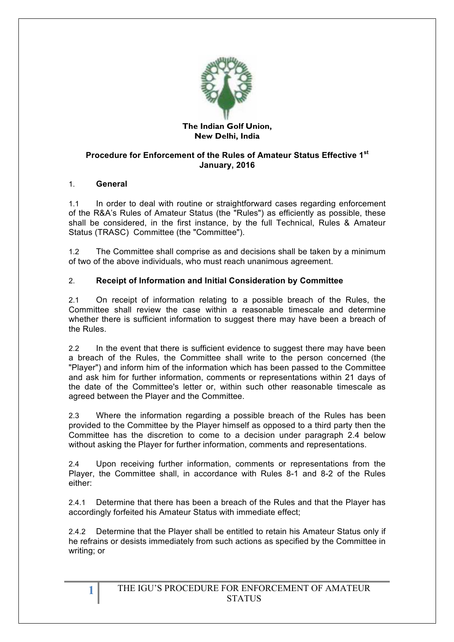

#### **The Indian Golf Union, New Delhi, India**

### **Procedure for Enforcement of the Rules of Amateur Status Effective 1st January, 2016**

### 1. **General**

1.1 In order to deal with routine or straightforward cases regarding enforcement of the R&A's Rules of Amateur Status (the "Rules") as efficiently as possible, these shall be considered, in the first instance, by the full Technical, Rules & Amateur Status (TRASC) Committee (the "Committee").

1.2 The Committee shall comprise as and decisions shall be taken by a minimum of two of the above individuals, who must reach unanimous agreement.

# 2. **Receipt of Information and Initial Consideration by Committee**

2.1 On receipt of information relating to a possible breach of the Rules, the Committee shall review the case within a reasonable timescale and determine whether there is sufficient information to suggest there may have been a breach of the Rules.

2.2 In the event that there is sufficient evidence to suggest there may have been a breach of the Rules, the Committee shall write to the person concerned (the "Player") and inform him of the information which has been passed to the Committee and ask him for further information, comments or representations within 21 days of the date of the Committee's letter or, within such other reasonable timescale as agreed between the Player and the Committee.

2.3 Where the information regarding a possible breach of the Rules has been provided to the Committee by the Player himself as opposed to a third party then the Committee has the discretion to come to a decision under paragraph 2.4 below without asking the Player for further information, comments and representations.

2.4 Upon receiving further information, comments or representations from the Player, the Committee shall, in accordance with Rules 8-1 and 8-2 of the Rules either:

2.4.1 Determine that there has been a breach of the Rules and that the Player has accordingly forfeited his Amateur Status with immediate effect;

2.4.2 Determine that the Player shall be entitled to retain his Amateur Status only if he refrains or desists immediately from such actions as specified by the Committee in writing; or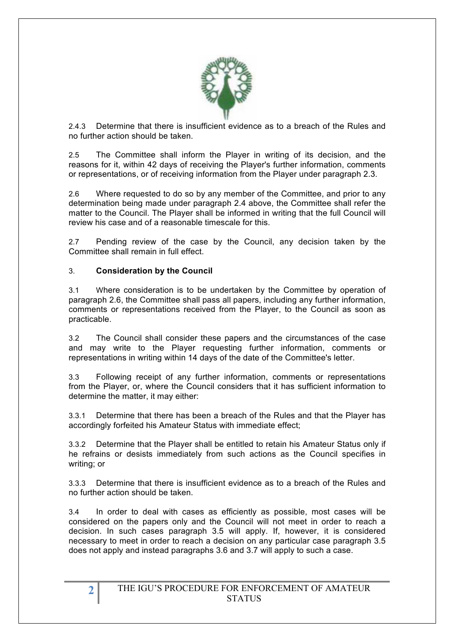

2.4.3 Determine that there is insufficient evidence as to a breach of the Rules and no further action should be taken.

2.5 The Committee shall inform the Player in writing of its decision, and the reasons for it, within 42 days of receiving the Player's further information, comments or representations, or of receiving information from the Player under paragraph 2.3.

2.6 Where requested to do so by any member of the Committee, and prior to any determination being made under paragraph 2.4 above, the Committee shall refer the matter to the Council. The Player shall be informed in writing that the full Council will review his case and of a reasonable timescale for this.

2.7 Pending review of the case by the Council, any decision taken by the Committee shall remain in full effect.

#### 3. **Consideration by the Council**

3.1 Where consideration is to be undertaken by the Committee by operation of paragraph 2.6, the Committee shall pass all papers, including any further information, comments or representations received from the Player, to the Council as soon as practicable.

3.2 The Council shall consider these papers and the circumstances of the case and may write to the Player requesting further information, comments or representations in writing within 14 days of the date of the Committee's letter.

3.3 Following receipt of any further information, comments or representations from the Player, or, where the Council considers that it has sufficient information to determine the matter, it may either:

3.3.1 Determine that there has been a breach of the Rules and that the Player has accordingly forfeited his Amateur Status with immediate effect;

3.3.2 Determine that the Player shall be entitled to retain his Amateur Status only if he refrains or desists immediately from such actions as the Council specifies in writing; or

3.3.3 Determine that there is insufficient evidence as to a breach of the Rules and no further action should be taken.

3.4 In order to deal with cases as efficiently as possible, most cases will be considered on the papers only and the Council will not meet in order to reach a decision. In such cases paragraph 3.5 will apply. If, however, it is considered necessary to meet in order to reach a decision on any particular case paragraph 3.5 does not apply and instead paragraphs 3.6 and 3.7 will apply to such a case.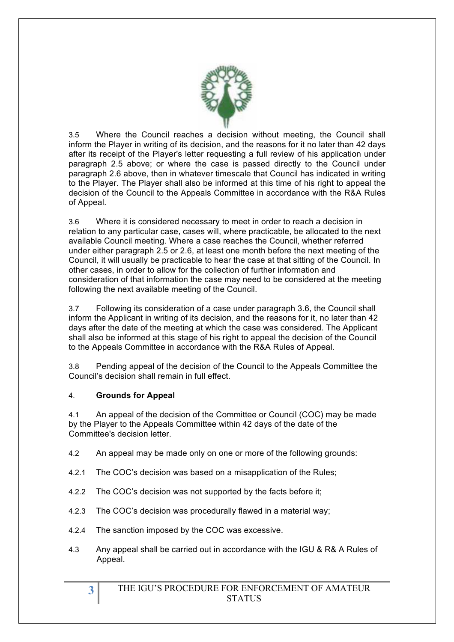

3.5 Where the Council reaches a decision without meeting, the Council shall inform the Player in writing of its decision, and the reasons for it no later than 42 days after its receipt of the Player's letter requesting a full review of his application under paragraph 2.5 above; or where the case is passed directly to the Council under paragraph 2.6 above, then in whatever timescale that Council has indicated in writing to the Player. The Player shall also be informed at this time of his right to appeal the decision of the Council to the Appeals Committee in accordance with the R&A Rules of Appeal.

3.6 Where it is considered necessary to meet in order to reach a decision in relation to any particular case, cases will, where practicable, be allocated to the next available Council meeting. Where a case reaches the Council, whether referred under either paragraph 2.5 or 2.6, at least one month before the next meeting of the Council, it will usually be practicable to hear the case at that sitting of the Council. In other cases, in order to allow for the collection of further information and consideration of that information the case may need to be considered at the meeting following the next available meeting of the Council.

3.7 Following its consideration of a case under paragraph 3.6, the Council shall inform the Applicant in writing of its decision, and the reasons for it, no later than 42 days after the date of the meeting at which the case was considered. The Applicant shall also be informed at this stage of his right to appeal the decision of the Council to the Appeals Committee in accordance with the R&A Rules of Appeal.

3.8 Pending appeal of the decision of the Council to the Appeals Committee the Council's decision shall remain in full effect.

# 4. **Grounds for Appeal**

4.1 An appeal of the decision of the Committee or Council (COC) may be made by the Player to the Appeals Committee within 42 days of the date of the Committee's decision letter.

- 4.2 An appeal may be made only on one or more of the following grounds:
- 4.2.1 The COC's decision was based on a misapplication of the Rules;
- 4.2.2 The COC's decision was not supported by the facts before it;
- 4.2.3 The COC's decision was procedurally flawed in a material way;
- 4.2.4 The sanction imposed by the COC was excessive.
- 4.3 Any appeal shall be carried out in accordance with the IGU & R& A Rules of Appeal.